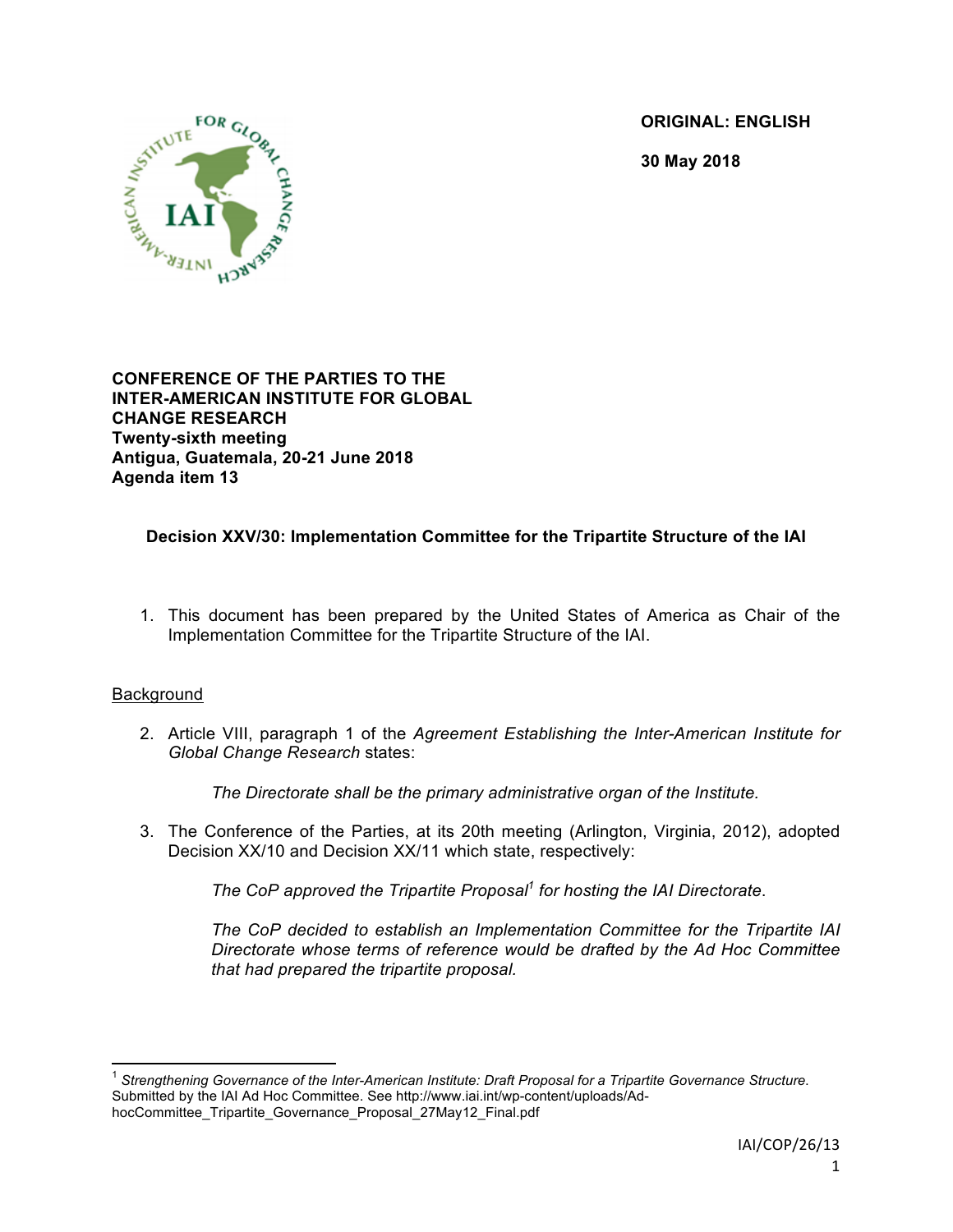**ORIGINAL: ENGLISH**

**30 May 2018**



**CONFERENCE OF THE PARTIES TO THE INTER-AMERICAN INSTITUTE FOR GLOBAL CHANGE RESEARCH Twenty-sixth meeting Antigua, Guatemala, 20-21 June 2018 Agenda item 13**

# **Decision XXV/30: Implementation Committee for the Tripartite Structure of the IAI**

1. This document has been prepared by the United States of America as Chair of the Implementation Committee for the Tripartite Structure of the IAI.

## **Background**

2. Article VIII, paragraph 1 of the *Agreement Establishing the Inter-American Institute for Global Change Research* states:

*The Directorate shall be the primary administrative organ of the Institute.*

3. The Conference of the Parties, at its 20th meeting (Arlington, Virginia, 2012), adopted Decision XX/10 and Decision XX/11 which state, respectively:

*The CoP approved the Tripartite Proposal<sup>1</sup> for hosting the IAI Directorate*.

*The CoP decided to establish an Implementation Committee for the Tripartite IAI Directorate whose terms of reference would be drafted by the Ad Hoc Committee that had prepared the tripartite proposal.*

 <sup>1</sup> *Strengthening Governance of the Inter-American Institute: Draft Proposal for a Tripartite Governance Structure*. Submitted by the IAI Ad Hoc Committee. See http://www.iai.int/wp-content/uploads/AdhocCommittee\_Tripartite\_Governance\_Proposal\_27May12\_Final.pdf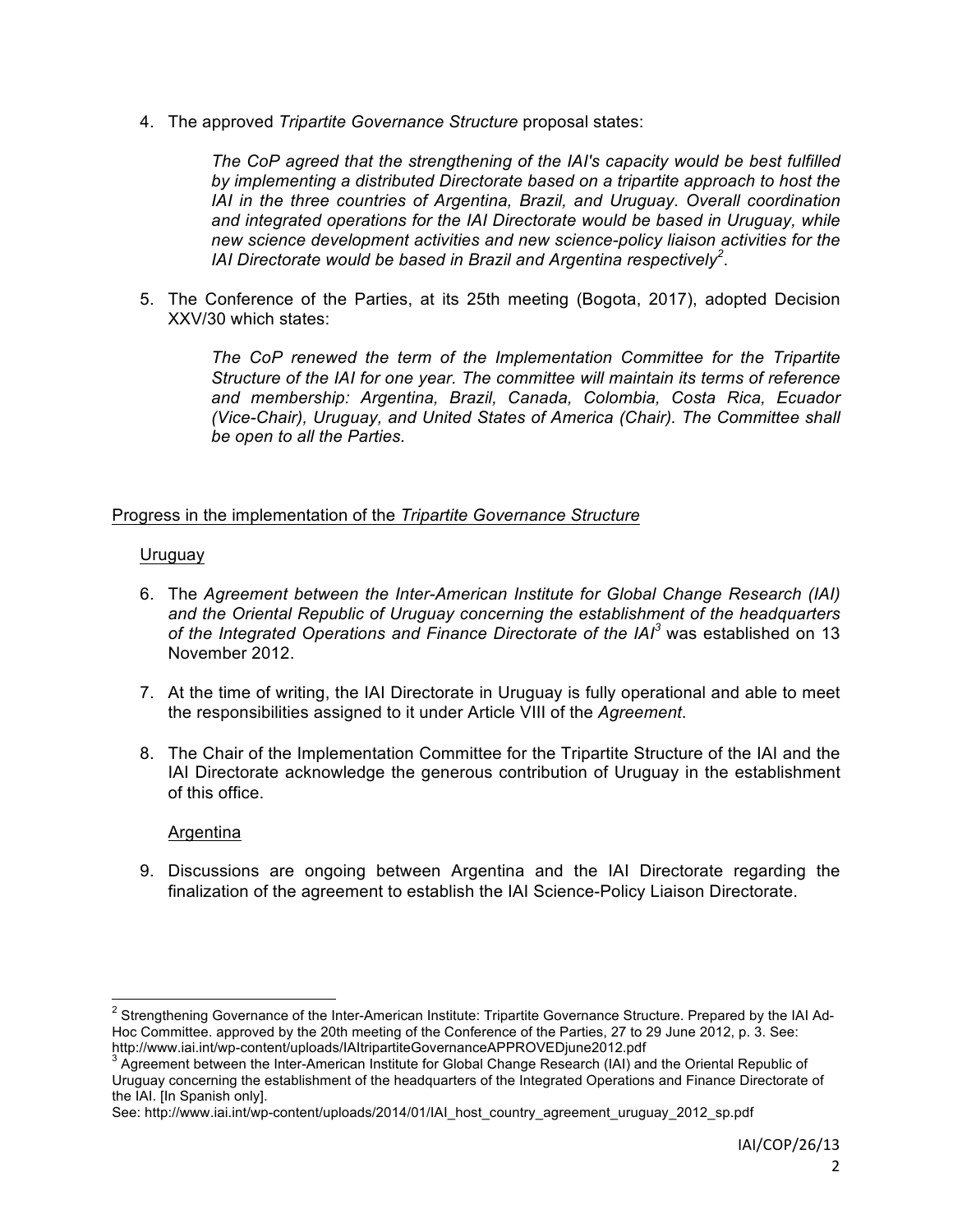4. The approved *Tripartite Governance Structure* proposal states:

*The CoP agreed that the strengthening of the IAI's capacity would be best fulfilled by implementing a distributed Directorate based on a tripartite approach to host the IAI in the three countries of Argentina, Brazil, and Uruguay. Overall coordination and integrated operations for the IAI Directorate would be based in Uruguay, while new science development activities and new science-policy liaison activities for the IAI Directorate would be based in Brazil and Argentina respectively<sup>2</sup>* .

5. The Conference of the Parties, at its 25th meeting (Bogota, 2017), adopted Decision XXV/30 which states:

> *The CoP renewed the term of the Implementation Committee for the Tripartite Structure of the IAI for one year. The committee will maintain its terms of reference and membership: Argentina, Brazil, Canada, Colombia, Costa Rica, Ecuador (Vice-Chair), Uruguay, and United States of America (Chair). The Committee shall be open to all the Parties.*

### Progress in the implementation of the *Tripartite Governance Structure*

### Uruguay

- 6. The *Agreement between the Inter-American Institute for Global Change Research (IAI) and the Oriental Republic of Uruguay concerning the establishment of the headquarters of the Integrated Operations and Finance Directorate of the IAI<sup>3</sup>* was established on 13 November 2012.
- 7. At the time of writing, the IAI Directorate in Uruguay is fully operational and able to meet the responsibilities assigned to it under Article VIII of the *Agreement*.
- 8. The Chair of the Implementation Committee for the Tripartite Structure of the IAI and the IAI Directorate acknowledge the generous contribution of Uruguay in the establishment of this office.

#### Argentina

9. Discussions are ongoing between Argentina and the IAI Directorate regarding the finalization of the agreement to establish the IAI Science-Policy Liaison Directorate.

<sup>&</sup>lt;sup>2</sup> Strengthening Governance of the Inter-American Institute: Tripartite Governance Structure. Prepared by the IAI Ad-Hoc Committee. approved by the 20th meeting of the Conference of the Parties, 27 to 29 June 2012, p. 3. See:<br>http://www.iai.int/wp-content/uploads/lAltripartiteGovernanceAPPROVEDiune2012.pdf

http://www.interative.org/internalcearties.<br><sup>3</sup> Agreement between the Inter-American Institute for Global Change Research (IAI) and the Oriental Republic of Uruguay concerning the establishment of the headquarters of the Integrated Operations and Finance Directorate of the IAI. [In Spanish only].

See: http://www.iai.int/wp-content/uploads/2014/01/IAI\_host\_country\_agreement\_uruguay\_2012\_sp.pdf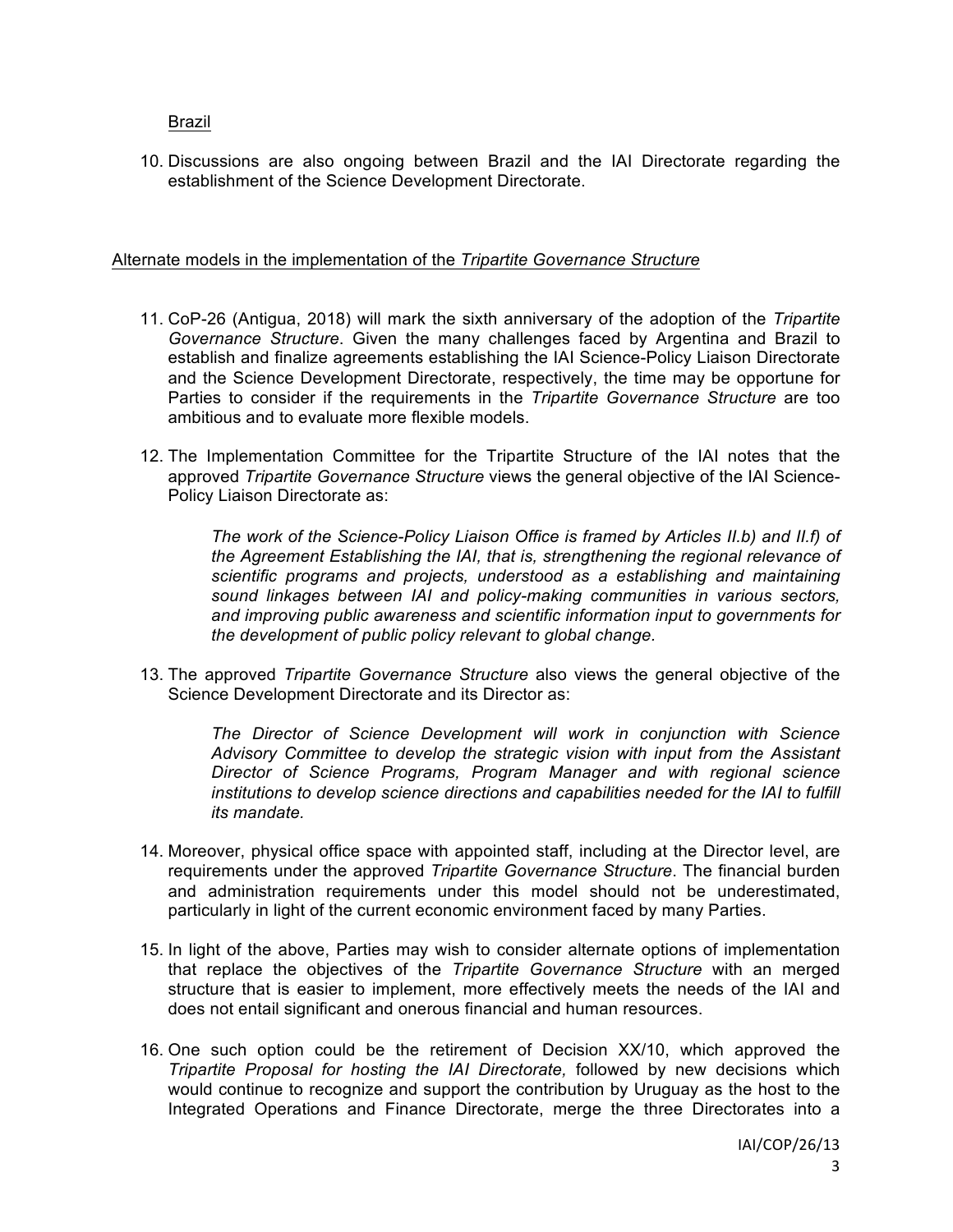Brazil

10. Discussions are also ongoing between Brazil and the IAI Directorate regarding the establishment of the Science Development Directorate.

#### Alternate models in the implementation of the *Tripartite Governance Structure*

- 11. CoP-26 (Antigua, 2018) will mark the sixth anniversary of the adoption of the *Tripartite Governance Structure*. Given the many challenges faced by Argentina and Brazil to establish and finalize agreements establishing the IAI Science-Policy Liaison Directorate and the Science Development Directorate, respectively, the time may be opportune for Parties to consider if the requirements in the *Tripartite Governance Structure* are too ambitious and to evaluate more flexible models.
- 12. The Implementation Committee for the Tripartite Structure of the IAI notes that the approved *Tripartite Governance Structure* views the general objective of the IAI Science-Policy Liaison Directorate as:

*The work of the Science-Policy Liaison Office is framed by Articles II.b) and II.f) of the Agreement Establishing the IAI, that is, strengthening the regional relevance of scientific programs and projects, understood as a establishing and maintaining sound linkages between IAI and policy-making communities in various sectors, and improving public awareness and scientific information input to governments for the development of public policy relevant to global change.*

13. The approved *Tripartite Governance Structure* also views the general objective of the Science Development Directorate and its Director as:

*The Director of Science Development will work in conjunction with Science Advisory Committee to develop the strategic vision with input from the Assistant Director of Science Programs, Program Manager and with regional science institutions to develop science directions and capabilities needed for the IAI to fulfill its mandate.*

- 14. Moreover, physical office space with appointed staff, including at the Director level, are requirements under the approved *Tripartite Governance Structure*. The financial burden and administration requirements under this model should not be underestimated, particularly in light of the current economic environment faced by many Parties.
- 15. In light of the above, Parties may wish to consider alternate options of implementation that replace the objectives of the *Tripartite Governance Structure* with an merged structure that is easier to implement, more effectively meets the needs of the IAI and does not entail significant and onerous financial and human resources.
- 16. One such option could be the retirement of Decision XX/10, which approved the *Tripartite Proposal for hosting the IAI Directorate,* followed by new decisions which would continue to recognize and support the contribution by Uruguay as the host to the Integrated Operations and Finance Directorate, merge the three Directorates into a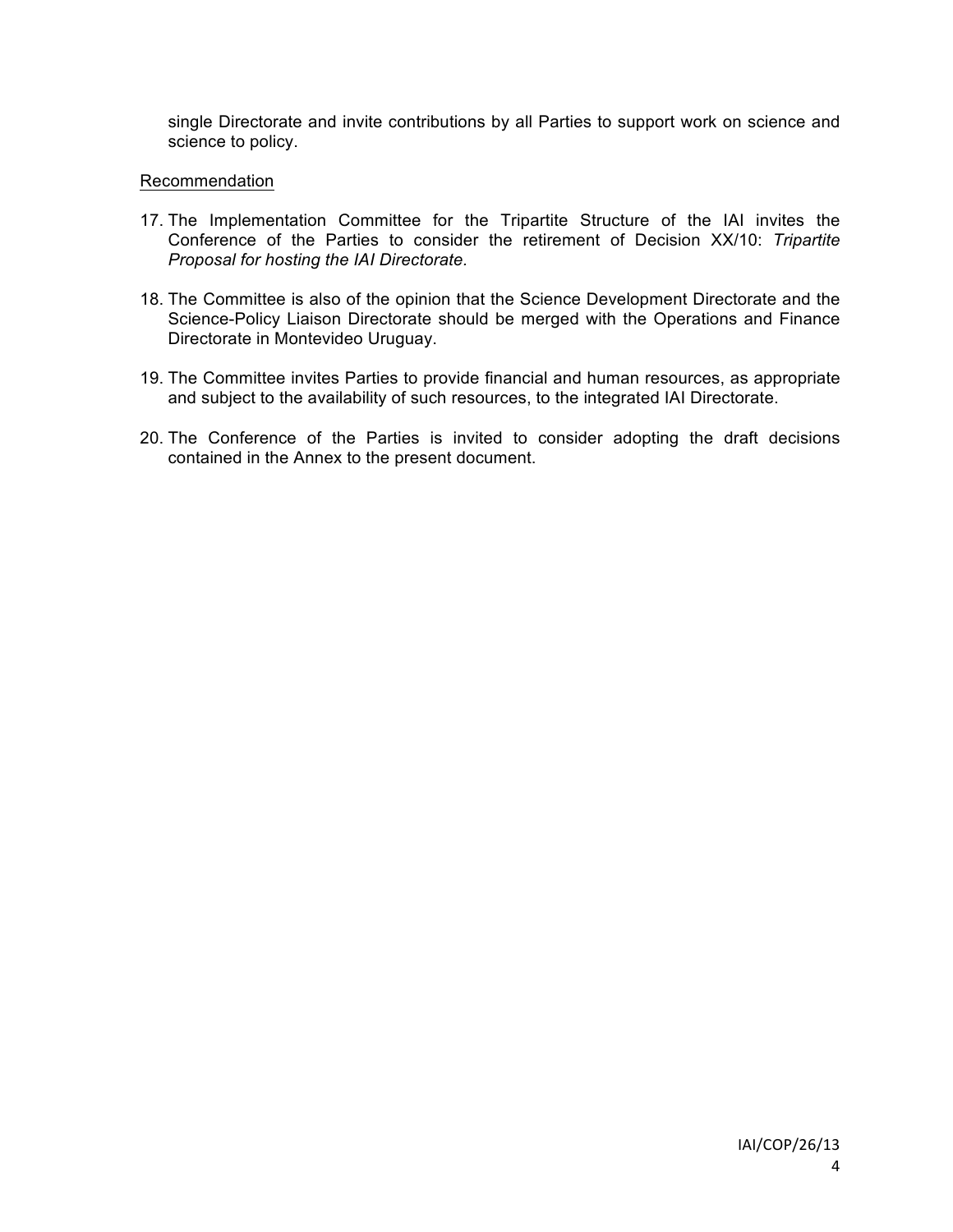single Directorate and invite contributions by all Parties to support work on science and science to policy.

### Recommendation

- 17. The Implementation Committee for the Tripartite Structure of the IAI invites the Conference of the Parties to consider the retirement of Decision XX/10: *Tripartite Proposal for hosting the IAI Directorate.*
- 18. The Committee is also of the opinion that the Science Development Directorate and the Science-Policy Liaison Directorate should be merged with the Operations and Finance Directorate in Montevideo Uruguay.
- 19. The Committee invites Parties to provide financial and human resources, as appropriate and subject to the availability of such resources, to the integrated IAI Directorate.
- 20. The Conference of the Parties is invited to consider adopting the draft decisions contained in the Annex to the present document.